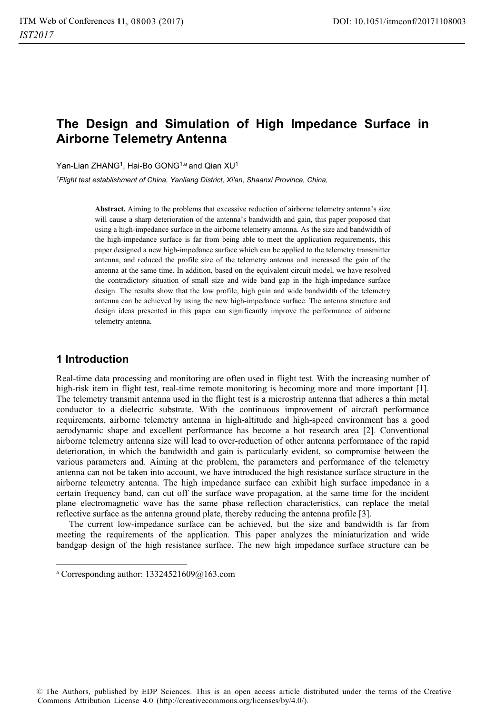# **The Design and Simulation of High Impedance Surface in Airborne Telemetry Antenna**

Yan-Lian ZHANG<sup>1</sup>, Hai-Bo GONG<sup>1,a</sup> and Qian XU<sup>1</sup>

*1 Flight test establishment of China, Yanliang District, Xi'an, Shaanxi Province, China,* 

**Abstract.** Aiming to the problems that excessive reduction of airborne telemetry antenna's size will cause a sharp deterioration of the antenna's bandwidth and gain, this paper proposed that using a high-impedance surface in the airborne telemetry antenna. As the size and bandwidth of the high-impedance surface is far from being able to meet the application requirements, this paper designed a new high-impedance surface which can be applied to the telemetry transmitter antenna, and reduced the profile size of the telemetry antenna and increased the gain of the antenna at the same time. In addition, based on the equivalent circuit model, we have resolved the contradictory situation of small size and wide band gap in the high-impedance surface design. The results show that the low profile, high gain and wide bandwidth of the telemetry antenna can be achieved by using the new high-impedance surface. The antenna structure and design ideas presented in this paper can significantly improve the performance of airborne telemetry antenna.

#### **1 Introduction**

 $\overline{a}$ 

Real-time data processing and monitoring are often used in flight test. With the increasing number of high-risk item in flight test, real-time remote monitoring is becoming more and more important [1]. The telemetry transmit antenna used in the flight test is a microstrip antenna that adheres a thin metal conductor to a dielectric substrate. With the continuous improvement of aircraft performance requirements, airborne telemetry antenna in high-altitude and high-speed environment has a good aerodynamic shape and excellent performance has become a hot research area [2]. Conventional airborne telemetry antenna size will lead to over-reduction of other antenna performance of the rapid deterioration, in which the bandwidth and gain is particularly evident, so compromise between the various parameters and. Aiming at the problem, the parameters and performance of the telemetry antenna can not be taken into account, we have introduced the high resistance surface structure in the airborne telemetry antenna. The high impedance surface can exhibit high surface impedance in a certain frequency band, can cut off the surface wave propagation, at the same time for the incident plane electromagnetic wave has the same phase reflection characteristics, can replace the metal reflective surface as the antenna ground plate, thereby reducing the antenna profile [3].

The current low-impedance surface can be achieved, but the size and bandwidth is far from meeting the requirements of the application. This paper analyzes the miniaturization and wide bandgap design of the high resistance surface. The new high impedance surface structure can be

a Corresponding author: 13324521609@163.com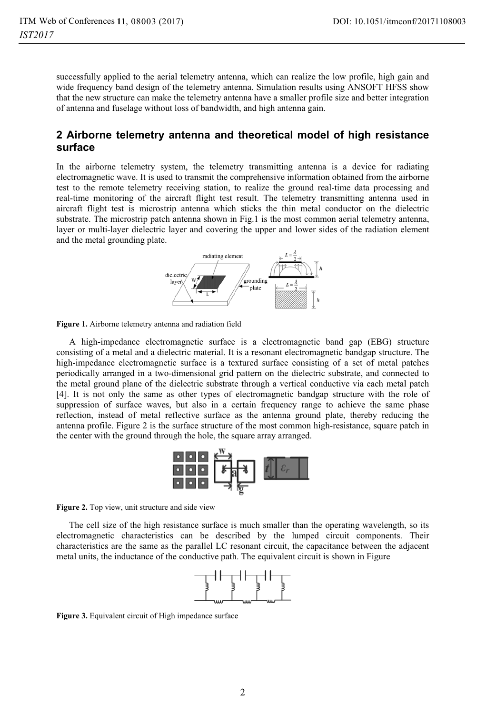successfully applied to the aerial telemetry antenna, which can realize the low profile, high gain and wide frequency band design of the telemetry antenna. Simulation results using ANSOFT HFSS show that the new structure can make the telemetry antenna have a smaller profile size and better integration of antenna and fuselage without loss of bandwidth, and high antenna gain.

#### **2 Airborne telemetry antenna and theoretical model of high resistance surface**

In the airborne telemetry system, the telemetry transmitting antenna is a device for radiating electromagnetic wave. It is used to transmit the comprehensive information obtained from the airborne test to the remote telemetry receiving station, to realize the ground real-time data processing and real-time monitoring of the aircraft flight test result. The telemetry transmitting antenna used in aircraft flight test is microstrip antenna which sticks the thin metal conductor on the dielectric substrate. The microstrip patch antenna shown in Fig.1 is the most common aerial telemetry antenna, layer or multi-layer dielectric layer and covering the upper and lower sides of the radiation element and the metal grounding plate.



**Figure 1.** Airborne telemetry antenna and radiation field

A high-impedance electromagnetic surface is a electromagnetic band gap (EBG) structure consisting of a metal and a dielectric material. It is a resonant electromagnetic bandgap structure. The high-impedance electromagnetic surface is a textured surface consisting of a set of metal patches periodically arranged in a two-dimensional grid pattern on the dielectric substrate, and connected to the metal ground plane of the dielectric substrate through a vertical conductive via each metal patch [4]. It is not only the same as other types of electromagnetic bandgap structure with the role of suppression of surface waves, but also in a certain frequency range to achieve the same phase reflection, instead of metal reflective surface as the antenna ground plate, thereby reducing the antenna profile. Figure 2 is the surface structure of the most common high-resistance, square patch in the center with the ground through the hole, the square array arranged.



**Figure 2.** Top view, unit structure and side view

The cell size of the high resistance surface is much smaller than the operating wavelength, so its electromagnetic characteristics can be described by the lumped circuit components. Their characteristics are the same as the parallel LC resonant circuit, the capacitance between the adjacent metal units, the inductance of the conductive path. The equivalent circuit is shown in Figure



**Figure 3.** Equivalent circuit of High impedance surface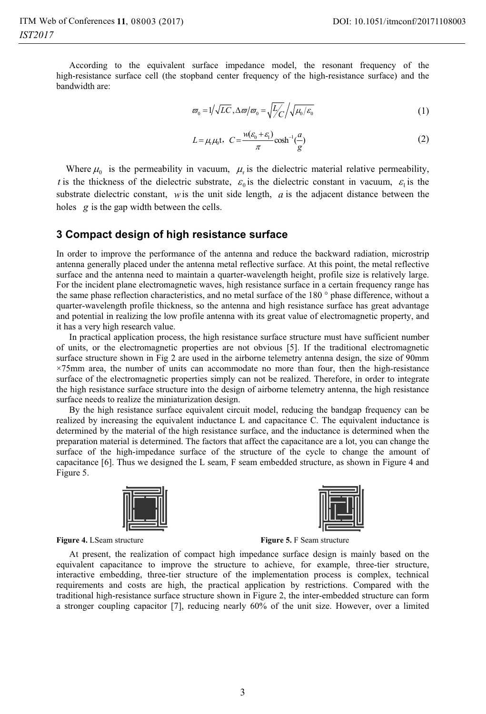According to the equivalent surface impedance model, the resonant frequency of the high-resistance surface cell (the stopband center frequency of the high-resistance surface) and the bandwidth are:

$$
\varpi_0 = 1/\sqrt{LC}, \Delta \varpi / \varpi_0 = \sqrt{\frac{L}{C}} / \sqrt{\mu_0 / \varepsilon_0}
$$
 (1)

$$
L = \mu_{t} \mu_{0} t, \quad C = \frac{w(\varepsilon_{0} + \varepsilon_{1})}{\pi} \cosh^{-1}(\frac{a}{g})
$$
 (2)

Where  $\mu_0$  is the permeability in vacuum,  $\mu_r$  is the dielectric material relative permeability, *t* is the thickness of the dielectric substrate,  $\varepsilon_0$  is the dielectric constant in vacuum,  $\varepsilon_1$  is the substrate dielectric constant, *w*is the unit side length, *a* is the adjacent distance between the holes *g* is the gap width between the cells.

#### **3 Compact design of high resistance surface**

In order to improve the performance of the antenna and reduce the backward radiation, microstrip antenna generally placed under the antenna metal reflective surface. At this point, the metal reflective surface and the antenna need to maintain a quarter-wavelength height, profile size is relatively large. For the incident plane electromagnetic waves, high resistance surface in a certain frequency range has the same phase reflection characteristics, and no metal surface of the 180 ° phase difference, without a quarter-wavelength profile thickness, so the antenna and high resistance surface has great advantage and potential in realizing the low profile antenna with its great value of electromagnetic property, and it has a very high research value.

In practical application process, the high resistance surface structure must have sufficient number of units, or the electromagnetic properties are not obvious [5]. If the traditional electromagnetic surface structure shown in Fig 2 are used in the airborne telemetry antenna design, the size of 90mm ×75mm area, the number of units can accommodate no more than four, then the high-resistance surface of the electromagnetic properties simply can not be realized. Therefore, in order to integrate the high resistance surface structure into the design of airborne telemetry antenna, the high resistance surface needs to realize the miniaturization design.

By the high resistance surface equivalent circuit model, reducing the bandgap frequency can be realized by increasing the equivalent inductance L and capacitance C. The equivalent inductance is determined by the material of the high resistance surface, and the inductance is determined when the preparation material is determined. The factors that affect the capacitance are a lot, you can change the surface of the high-impedance surface of the structure of the cycle to change the amount of capacitance [6]. Thus we designed the L seam, F seam embedded structure, as shown in Figure 4 and Figure 5.





**Figure 4.** LSeam structure **Figure 5. F** Seam structure

At present, the realization of compact high impedance surface design is mainly based on the equivalent capacitance to improve the structure to achieve, for example, three-tier structure, interactive embedding, three-tier structure of the implementation process is complex, technical requirements and costs are high, the practical application by restrictions. Compared with the traditional high-resistance surface structure shown in Figure 2, the inter-embedded structure can form a stronger coupling capacitor [7], reducing nearly 60% of the unit size. However, over a limited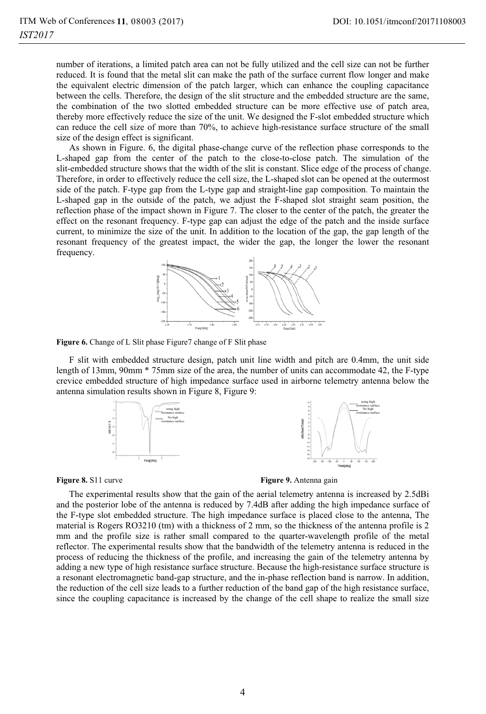number of iterations, a limited patch area can not be fully utilized and the cell size can not be further reduced. It is found that the metal slit can make the path of the surface current flow longer and make the equivalent electric dimension of the patch larger, which can enhance the coupling capacitance between the cells. Therefore, the design of the slit structure and the embedded structure are the same, the combination of the two slotted embedded structure can be more effective use of patch area, thereby more effectively reduce the size of the unit. We designed the F-slot embedded structure which can reduce the cell size of more than 70%, to achieve high-resistance surface structure of the small size of the design effect is significant.

As shown in Figure. 6, the digital phase-change curve of the reflection phase corresponds to the L-shaped gap from the center of the patch to the close-to-close patch. The simulation of the slit-embedded structure shows that the width of the slit is constant. Slice edge of the process of change. Therefore, in order to effectively reduce the cell size, the L-shaped slot can be opened at the outermost side of the patch. F-type gap from the L-type gap and straight-line gap composition. To maintain the L-shaped gap in the outside of the patch, we adjust the F-shaped slot straight seam position, the reflection phase of the impact shown in Figure 7. The closer to the center of the patch, the greater the effect on the resonant frequency. F-type gap can adjust the edge of the patch and the inside surface current, to minimize the size of the unit. In addition to the location of the gap, the gap length of the resonant frequency of the greatest impact, the wider the gap, the longer the lower the resonant frequency.



**Figure 6.** Change of L Slit phase Figure7 change of F Slit phase

F slit with embedded structure design, patch unit line width and pitch are 0.4mm, the unit side length of 13mm, 90mm \* 75mm size of the area, the number of units can accommodate 42, the F-type crevice embedded structure of high impedance surface used in airborne telemetry antenna below the antenna simulation results shown in Figure 8, Figure 9:



**Figure 8.** S11 curve **Figure 9.** Antenna gain

The experimental results show that the gain of the aerial telemetry antenna is increased by 2.5dBi and the posterior lobe of the antenna is reduced by 7.4dB after adding the high impedance surface of the F-type slot embedded structure. The high impedance surface is placed close to the antenna, The material is Rogers RO3210 (tm) with a thickness of 2 mm, so the thickness of the antenna profile is 2 mm and the profile size is rather small compared to the quarter-wavelength profile of the metal reflector. The experimental results show that the bandwidth of the telemetry antenna is reduced in the process of reducing the thickness of the profile, and increasing the gain of the telemetry antenna by adding a new type of high resistance surface structure. Because the high-resistance surface structure is a resonant electromagnetic band-gap structure, and the in-phase reflection band is narrow. In addition, the reduction of the cell size leads to a further reduction of the band gap of the high resistance surface, since the coupling capacitance is increased by the change of the cell shape to realize the small size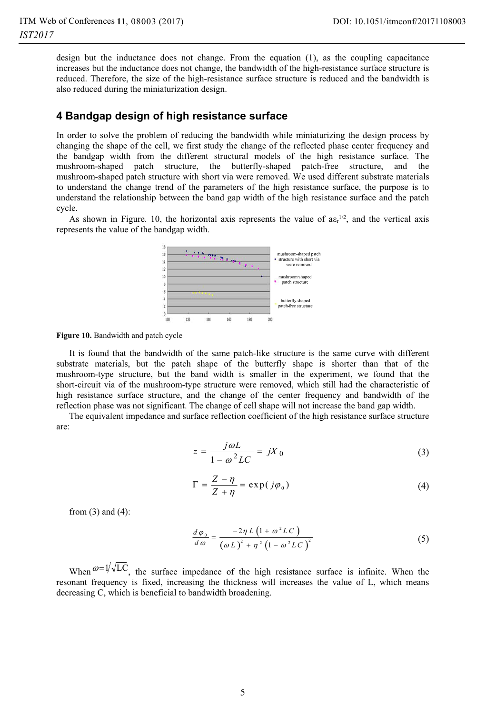design but the inductance does not change. From the equation (1), as the coupling capacitance increases but the inductance does not change, the bandwidth of the high-resistance surface structure is reduced. Therefore, the size of the high-resistance surface structure is reduced and the bandwidth is also reduced during the miniaturization design.

### **4 Bandgap design of high resistance surface**

In order to solve the problem of reducing the bandwidth while miniaturizing the design process by changing the shape of the cell, we first study the change of the reflected phase center frequency and the bandgap width from the different structural models of the high resistance surface. The mushroom-shaped patch structure, the butterfly-shaped patch-free structure, and the mushroom-shaped patch structure with short via were removed. We used different substrate materials to understand the change trend of the parameters of the high resistance surface, the purpose is to understand the relationship between the band gap width of the high resistance surface and the patch cycle.

As shown in Figure. 10, the horizontal axis represents the value of  $a \epsilon_r^{1/2}$ , and the vertical axis represents the value of the bandgap width.



**Figure 10.** Bandwidth and patch cycle

It is found that the bandwidth of the same patch-like structure is the same curve with different substrate materials, but the patch shape of the butterfly shape is shorter than that of the mushroom-type structure, but the band width is smaller in the experiment, we found that the short-circuit via of the mushroom-type structure were removed, which still had the characteristic of high resistance surface structure, and the change of the center frequency and bandwidth of the reflection phase was not significant. The change of cell shape will not increase the band gap width.

The equivalent impedance and surface reflection coefficient of the high resistance surface structure are:

$$
z = \frac{j\omega L}{1 - \omega^2 LC} = jX_0 \tag{3}
$$

$$
\Gamma = \frac{Z - \eta}{Z + \eta} = \exp(j\varphi_0)
$$
 (4)

from (3) and (4):

$$
\frac{d\varphi_0}{d\omega} = \frac{-2\eta L \left(1 + \omega^2 LC\right)}{\left(\omega L\right)^2 + \eta^2 \left(1 - \omega^2 LC\right)^2}
$$
\n(5)

When  $\omega = 1/\sqrt{LC}$ , the surface impedance of the high resistance surface is infinite. When the resonant frequency is fixed, increasing the thickness will increases the value of L, which means decreasing C, which is beneficial to bandwidth broadening.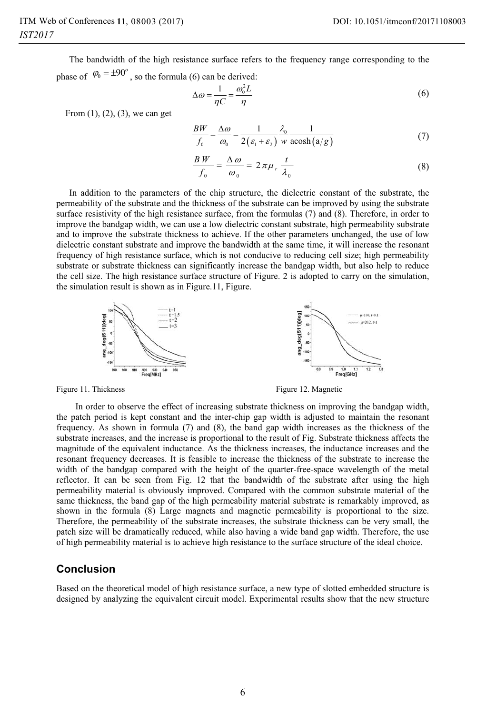The bandwidth of the high resistance surface refers to the frequency range corresponding to the phase of  $\varphi_0 = \pm 90^\circ$ , so the formula (6) can be derived:

$$
\Delta \omega = \frac{1}{\eta C} = \frac{\omega_0^2 L}{\eta} \tag{6}
$$

From  $(1)$ ,  $(2)$ ,  $(3)$ , we can get

$$
\frac{BW}{f_0} = \frac{\Delta \omega}{\omega_0} = \frac{1}{2(\varepsilon_1 + \varepsilon_2)} \frac{\lambda_0}{w} \frac{1}{\operatorname{acosh}(a/g)}\tag{7}
$$

$$
\frac{BW}{f_0} = \frac{\Delta \omega}{\omega_0} = 2\pi\mu_r \frac{t}{\lambda_0}
$$
 (8)

In addition to the parameters of the chip structure, the dielectric constant of the substrate, the permeability of the substrate and the thickness of the substrate can be improved by using the substrate surface resistivity of the high resistance surface, from the formulas (7) and (8). Therefore, in order to improve the bandgap width, we can use a low dielectric constant substrate, high permeability substrate and to improve the substrate thickness to achieve. If the other parameters unchanged, the use of low dielectric constant substrate and improve the bandwidth at the same time, it will increase the resonant frequency of high resistance surface, which is not conducive to reducing cell size; high permeability substrate or substrate thickness can significantly increase the bandgap width, but also help to reduce the cell size. The high resistance surface structure of Figure. 2 is adopted to carry on the simulation, the simulation result is shown as in Figure.11, Figure.



Figure 11. Thickness **Figure 12. Magnetic** Figure 12. Magnetic

In order to observe the effect of increasing substrate thickness on improving the bandgap width, the patch period is kept constant and the inter-chip gap width is adjusted to maintain the resonant frequency. As shown in formula (7) and (8), the band gap width increases as the thickness of the substrate increases, and the increase is proportional to the result of Fig. Substrate thickness affects the magnitude of the equivalent inductance. As the thickness increases, the inductance increases and the resonant frequency decreases. It is feasible to increase the thickness of the substrate to increase the width of the bandgap compared with the height of the quarter-free-space wavelength of the metal reflector. It can be seen from Fig. 12 that the bandwidth of the substrate after using the high permeability material is obviously improved. Compared with the common substrate material of the same thickness, the band gap of the high permeability material substrate is remarkably improved, as shown in the formula (8) Large magnets and magnetic permeability is proportional to the size. Therefore, the permeability of the substrate increases, the substrate thickness can be very small, the patch size will be dramatically reduced, while also having a wide band gap width. Therefore, the use of high permeability material is to achieve high resistance to the surface structure of the ideal choice.

#### **Conclusion**

Based on the theoretical model of high resistance surface, a new type of slotted embedded structure is designed by analyzing the equivalent circuit model. Experimental results show that the new structure